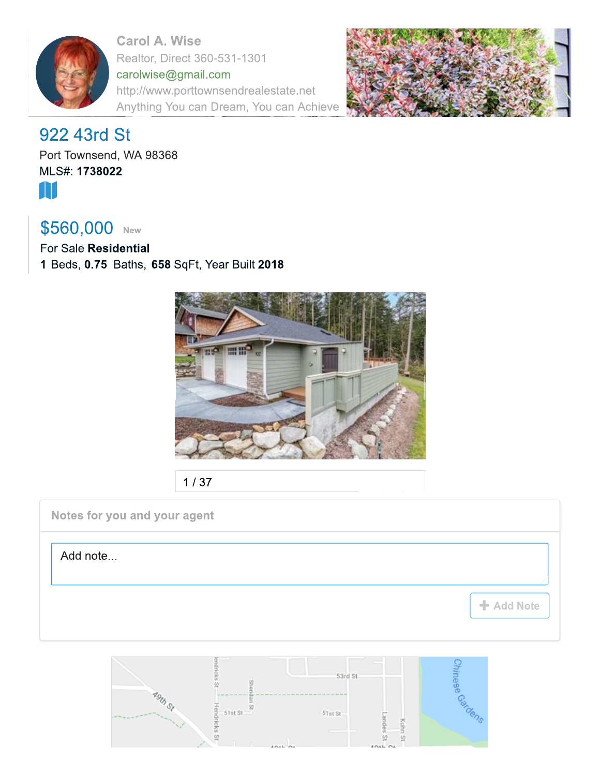

**Carol A. Wise** Realtor, Direct 360-531-1301 carolwise@gmail.com http://www.porttownsendrealestate.net Anything You can Dream, You can Achieve



# 922 43rd St

Port Townsend, WA 98368 MLS#: 1738022 M

# \$560,000 New

For Sale Residential 1 Beds, 0.75 Baths, 658 SqFt, Year Built 2018



 $1/37$ 

Notes for you and your agent

Add note...

+ Add Note

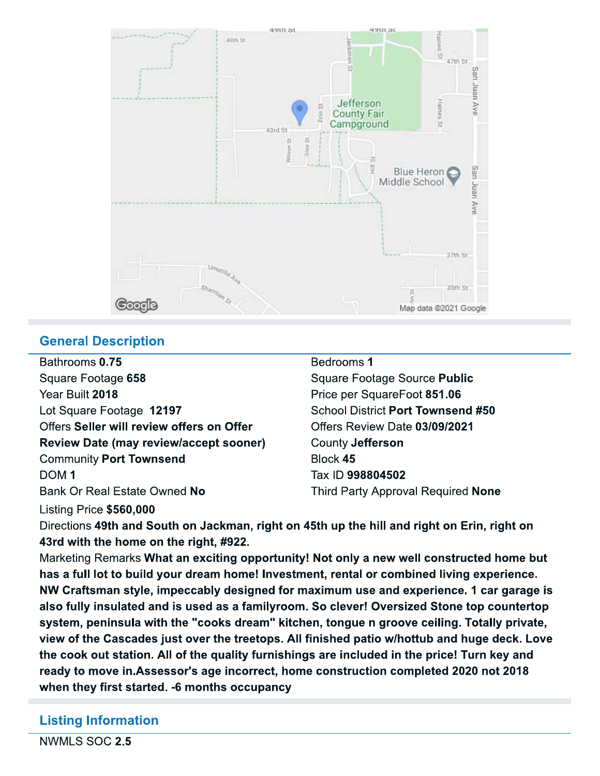

## **General Description**

Bathrooms 0.75 Square Footage 658 Year Built 2018 Lot Square Footage 12197 Offers Seller will review offers on Offer **Review Date (may review/accept sooner) Community Port Townsend** DOM<sub>1</sub> Bank Or Real Estate Owned No

### Bedrooms 1

Square Footage Source Public Price per SquareFoot 851.06 School District Port Townsend #50 Offers Review Date 03/09/2021 County Jefferson Block 45 Tax ID 998804502 Third Party Approval Required None

Listing Price \$560,000 Directions 49th and South on Jackman, right on 45th up the hill and right on Erin, right on 43rd with the home on the right, #922.

Marketing Remarks What an exciting opportunity! Not only a new well constructed home but has a full lot to build your dream home! Investment, rental or combined living experience. NW Craftsman style, impeccably designed for maximum use and experience. 1 car garage is also fully insulated and is used as a familyroom. So clever! Oversized Stone top countertop system, peninsula with the "cooks dream" kitchen, tongue n groove ceiling. Totally private, view of the Cascades just over the treetops. All finished patio w/hottub and huge deck. Love the cook out station. All of the quality furnishings are included in the price! Turn key and ready to move in. Assessor's age incorrect, home construction completed 2020 not 2018 when they first started. -6 months occupancy

# **Listing Information**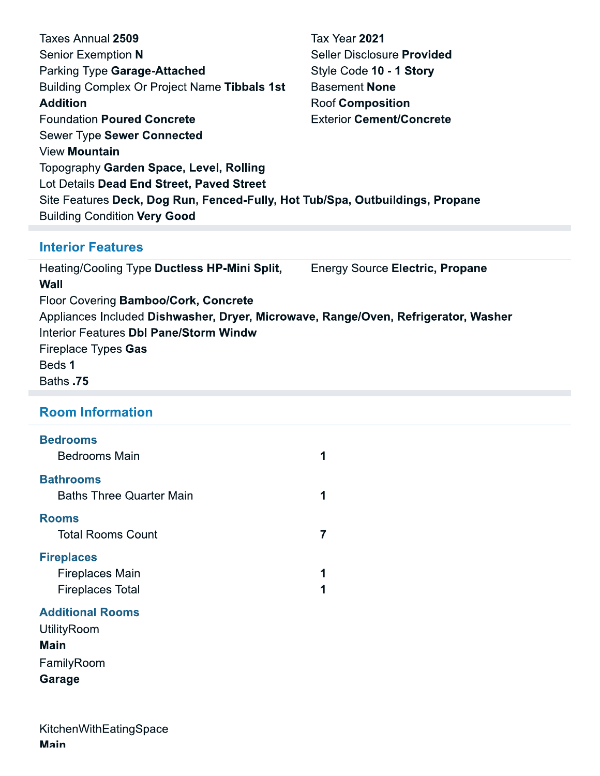| Taxes Annual 2509                                                             | Tax Year 2021                     |  |
|-------------------------------------------------------------------------------|-----------------------------------|--|
| Senior Exemption N                                                            | Seller Disclosure <b>Provided</b> |  |
| Parking Type Garage-Attached                                                  | Style Code 10 - 1 Story           |  |
| Building Complex Or Project Name Tibbals 1st                                  | <b>Basement None</b>              |  |
| <b>Addition</b>                                                               | <b>Roof Composition</b>           |  |
| <b>Foundation Poured Concrete</b>                                             | <b>Exterior Cement/Concrete</b>   |  |
| Sewer Type Sewer Connected                                                    |                                   |  |
| <b>View Mountain</b>                                                          |                                   |  |
| Topography Garden Space, Level, Rolling                                       |                                   |  |
| Lot Details Dead End Street, Paved Street                                     |                                   |  |
| Site Features Deck, Dog Run, Fenced-Fully, Hot Tub/Spa, Outbuildings, Propane |                                   |  |
| <b>Building Condition Very Good</b>                                           |                                   |  |

## **Interior Features**

Heating/Cooling Type Ductless HP-Mini Split, **Energy Source Electric, Propane Wall** Floor Covering Bamboo/Cork, Concrete Appliances Included Dishwasher, Dryer, Microwave, Range/Oven, Refrigerator, Washer **Interior Features Dbl Pane/Storm Windw** Fireplace Types Gas Beds 1 Baths .75

## **Room Information**

### **Bedrooms**

| <b>Bedrooms Main</b>                                |  |
|-----------------------------------------------------|--|
| <b>Bathrooms</b><br><b>Baths Three Quarter Main</b> |  |
| <b>Rooms</b><br><b>Total Rooms Count</b>            |  |
| <b>Fireplaces</b>                                   |  |
| <b>Fireplaces Main</b>                              |  |
| <b>Fireplaces Total</b>                             |  |

### **Additional Rooms**

UtilityRoom **Main** FamilyRoom Garage